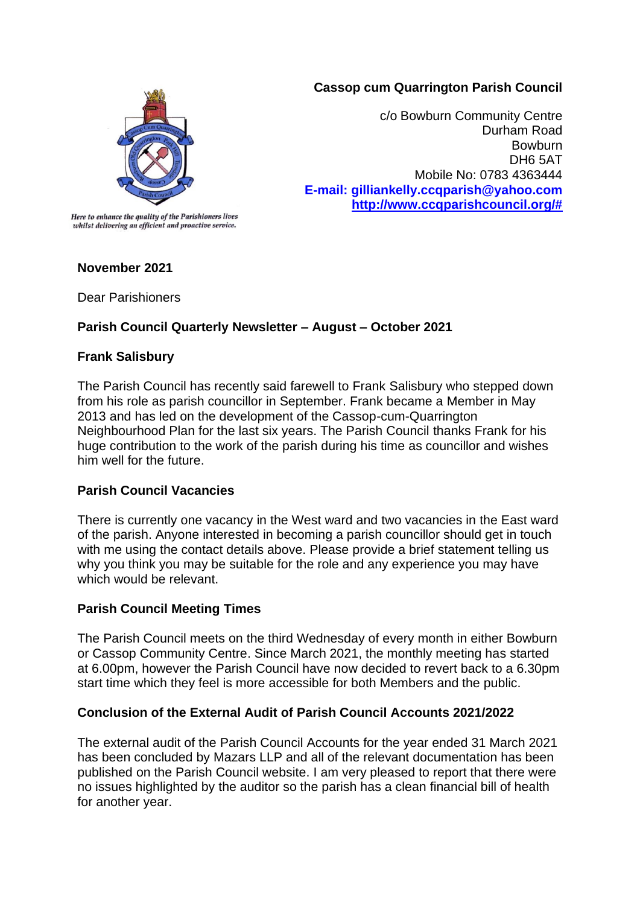### **Cassop cum Quarrington Parish Council**



c/o Bowburn Community Centre Durham Road **Bowburn** DH6 5AT Mobile No: 0783 4363444 **E-mail: gilliankelly.ccqparish@yahoo.com [http://www.ccqparishcouncil.org/#](http://www.ccqparishcouncil.org/)**

Here to enhance the quality of the Parishioners lives whilst delivering an efficient and proactive service.

### **November 2021**

Dear Parishioners

# **Parish Council Quarterly Newsletter – August – October 2021**

### **Frank Salisbury**

The Parish Council has recently said farewell to Frank Salisbury who stepped down from his role as parish councillor in September. Frank became a Member in May 2013 and has led on the development of the Cassop-cum-Quarrington Neighbourhood Plan for the last six years. The Parish Council thanks Frank for his huge contribution to the work of the parish during his time as councillor and wishes him well for the future.

# **Parish Council Vacancies**

There is currently one vacancy in the West ward and two vacancies in the East ward of the parish. Anyone interested in becoming a parish councillor should get in touch with me using the contact details above. Please provide a brief statement telling us why you think you may be suitable for the role and any experience you may have which would be relevant.

### **Parish Council Meeting Times**

The Parish Council meets on the third Wednesday of every month in either Bowburn or Cassop Community Centre. Since March 2021, the monthly meeting has started at 6.00pm, however the Parish Council have now decided to revert back to a 6.30pm start time which they feel is more accessible for both Members and the public.

# **Conclusion of the External Audit of Parish Council Accounts 2021/2022**

The external audit of the Parish Council Accounts for the year ended 31 March 2021 has been concluded by Mazars LLP and all of the relevant documentation has been published on the Parish Council website. I am very pleased to report that there were no issues highlighted by the auditor so the parish has a clean financial bill of health for another year.